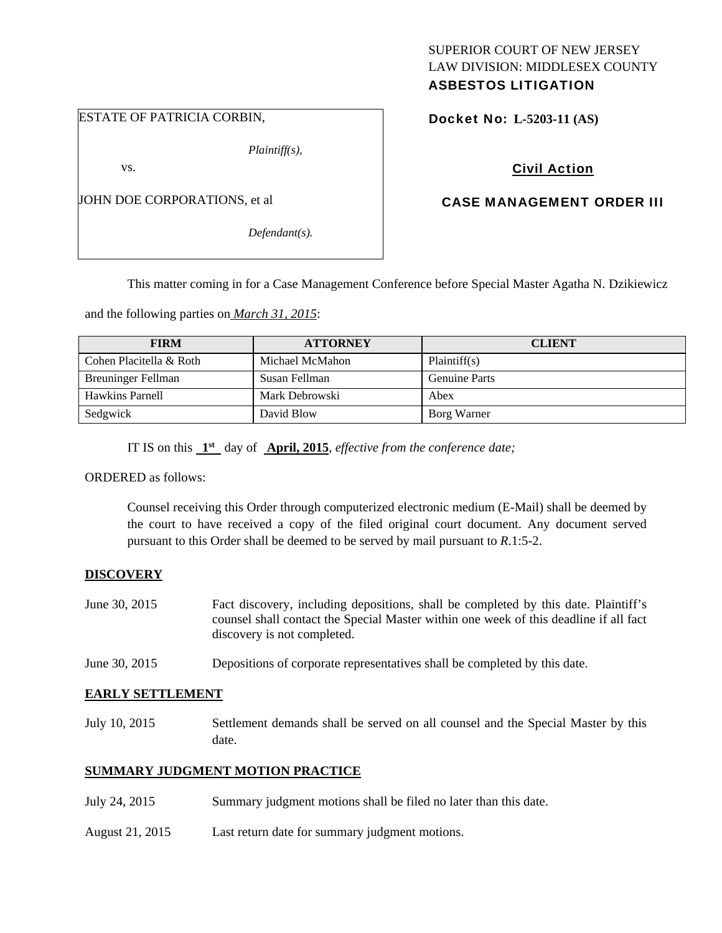## ESTATE OF PATRICIA CORBIN,

*Plaintiff(s),* 

vs.

JOHN DOE CORPORATIONS, et al

*Defendant(s).* 

## SUPERIOR COURT OF NEW JERSEY LAW DIVISION: MIDDLESEX COUNTY ASBESTOS LITIGATION

Docket No: **L-5203-11 (AS)** 

# Civil Action

## CASE MANAGEMENT ORDER III

This matter coming in for a Case Management Conference before Special Master Agatha N. Dzikiewicz

and the following parties on *March 31, 2015*:

| <b>FIRM</b>             | <b>ATTORNEY</b> | <b>CLIENT</b>        |
|-------------------------|-----------------|----------------------|
| Cohen Placitella & Roth | Michael McMahon | Plaintiff(s)         |
| Breuninger Fellman      | Susan Fellman   | <b>Genuine Parts</b> |
| Hawkins Parnell         | Mark Debrowski  | Abex                 |
| Sedgwick                | David Blow      | Borg Warner          |

IT IS on this **1st** day of **April, 2015**, *effective from the conference date;*

ORDERED as follows:

Counsel receiving this Order through computerized electronic medium (E-Mail) shall be deemed by the court to have received a copy of the filed original court document. Any document served pursuant to this Order shall be deemed to be served by mail pursuant to *R*.1:5-2.

### **DISCOVERY**

- June 30, 2015 Fact discovery, including depositions, shall be completed by this date. Plaintiff's counsel shall contact the Special Master within one week of this deadline if all fact discovery is not completed.
- June 30, 2015 Depositions of corporate representatives shall be completed by this date.

### **EARLY SETTLEMENT**

July 10, 2015 Settlement demands shall be served on all counsel and the Special Master by this date.

## **SUMMARY JUDGMENT MOTION PRACTICE**

- July 24, 2015 Summary judgment motions shall be filed no later than this date.
- August 21, 2015 Last return date for summary judgment motions.